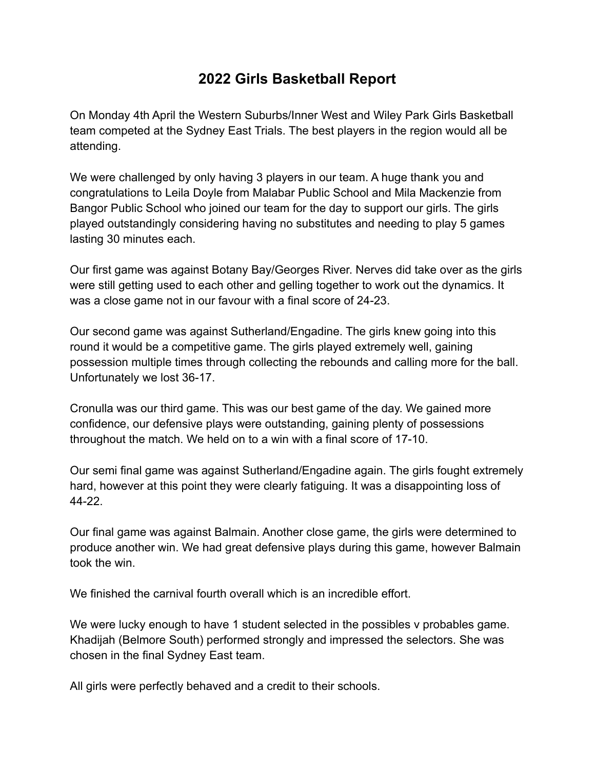## **2022 Girls Basketball Report**

On Monday 4th April the Western Suburbs/Inner West and Wiley Park Girls Basketball team competed at the Sydney East Trials. The best players in the region would all be attending.

We were challenged by only having 3 players in our team. A huge thank you and congratulations to Leila Doyle from Malabar Public School and Mila Mackenzie from Bangor Public School who joined our team for the day to support our girls. The girls played outstandingly considering having no substitutes and needing to play 5 games lasting 30 minutes each.

Our first game was against Botany Bay/Georges River. Nerves did take over as the girls were still getting used to each other and gelling together to work out the dynamics. It was a close game not in our favour with a final score of 24-23.

Our second game was against Sutherland/Engadine. The girls knew going into this round it would be a competitive game. The girls played extremely well, gaining possession multiple times through collecting the rebounds and calling more for the ball. Unfortunately we lost 36-17.

Cronulla was our third game. This was our best game of the day. We gained more confidence, our defensive plays were outstanding, gaining plenty of possessions throughout the match. We held on to a win with a final score of 17-10.

Our semi final game was against Sutherland/Engadine again. The girls fought extremely hard, however at this point they were clearly fatiguing. It was a disappointing loss of 44-22.

Our final game was against Balmain. Another close game, the girls were determined to produce another win. We had great defensive plays during this game, however Balmain took the win.

We finished the carnival fourth overall which is an incredible effort.

We were lucky enough to have 1 student selected in the possibles v probables game. Khadijah (Belmore South) performed strongly and impressed the selectors. She was chosen in the final Sydney East team.

All girls were perfectly behaved and a credit to their schools.